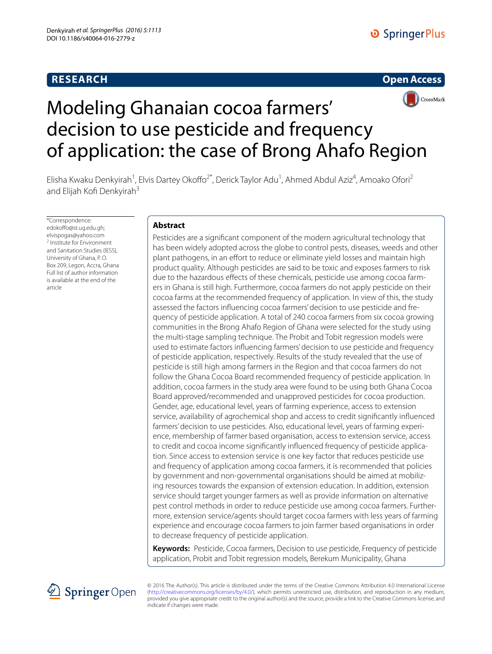## **RESEARCH**





# Modeling Ghanaian cocoa farmers' decision to use pesticide and frequency of application: the case of Brong Ahafo Region

Elisha Kwaku Denkyirah<sup>1</sup>, Elvis Dartey Okoffo<sup>2\*</sup>, Derick Taylor Adu<sup>1</sup>, Ahmed Abdul Aziz<sup>4</sup>, Amoako Ofori<sup>2</sup> and Elijah Kofi Denkyirah<sup>3</sup>

\*Correspondence: edokoffo@st.ug.edu.gh; elvispogas@yahoo.com 2 Institute for Environment and Sanitation Studies (IESS), University of Ghana, P. O. Box 209, Legon, Accra, Ghana Full list of author information is available at the end of the article

## **Abstract**

Pesticides are a significant component of the modern agricultural technology that has been widely adopted across the globe to control pests, diseases, weeds and other plant pathogens, in an effort to reduce or eliminate yield losses and maintain high product quality. Although pesticides are said to be toxic and exposes farmers to risk due to the hazardous effects of these chemicals, pesticide use among cocoa farmers in Ghana is still high. Furthermore, cocoa farmers do not apply pesticide on their cocoa farms at the recommended frequency of application. In view of this, the study assessed the factors influencing cocoa farmers' decision to use pesticide and frequency of pesticide application. A total of 240 cocoa farmers from six cocoa growing communities in the Brong Ahafo Region of Ghana were selected for the study using the multi-stage sampling technique. The Probit and Tobit regression models were used to estimate factors influencing farmers' decision to use pesticide and frequency of pesticide application, respectively. Results of the study revealed that the use of pesticide is still high among farmers in the Region and that cocoa farmers do not follow the Ghana Cocoa Board recommended frequency of pesticide application. In addition, cocoa farmers in the study area were found to be using both Ghana Cocoa Board approved/recommended and unapproved pesticides for cocoa production. Gender, age, educational level, years of farming experience, access to extension service, availability of agrochemical shop and access to credit significantly influenced farmers' decision to use pesticides. Also, educational level, years of farming experience, membership of farmer based organisation, access to extension service, access to credit and cocoa income significantly influenced frequency of pesticide application. Since access to extension service is one key factor that reduces pesticide use and frequency of application among cocoa farmers, it is recommended that policies by government and non-governmental organisations should be aimed at mobilizing resources towards the expansion of extension education. In addition, extension service should target younger farmers as well as provide information on alternative pest control methods in order to reduce pesticide use among cocoa farmers. Furthermore, extension service/agents should target cocoa farmers with less years of farming experience and encourage cocoa farmers to join farmer based organisations in order to decrease frequency of pesticide application.

**Keywords:** Pesticide, Cocoa farmers, Decision to use pesticide, Frequency of pesticide application, Probit and Tobit regression models, Berekum Municipality, Ghana



© 2016 The Author(s). This article is distributed under the terms of the Creative Commons Attribution 4.0 International License [\(http://creativecommons.org/licenses/by/4.0/](http://creativecommons.org/licenses/by/4.0/)), which permits unrestricted use, distribution, and reproduction in any medium, provided you give appropriate credit to the original author(s) and the source, provide a link to the Creative Commons license, and indicate if changes were made.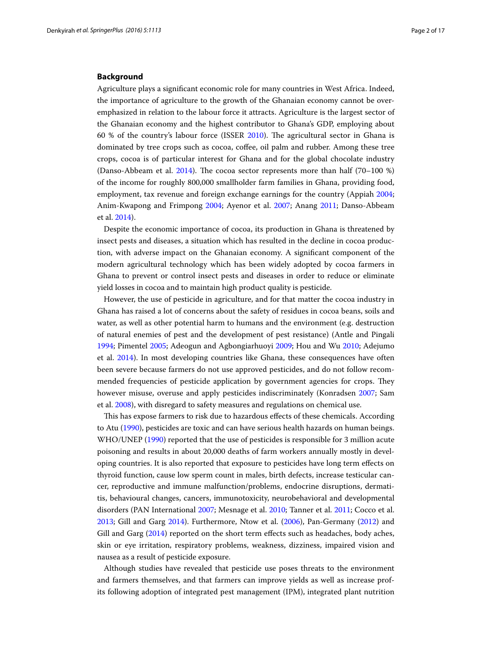## **Background**

Agriculture plays a significant economic role for many countries in West Africa. Indeed, the importance of agriculture to the growth of the Ghanaian economy cannot be overemphasized in relation to the labour force it attracts. Agriculture is the largest sector of the Ghanaian economy and the highest contributor to Ghana's GDP, employing about 60 % of the country's labour force (ISSER [2010](#page-15-0)). The agricultural sector in Ghana is dominated by tree crops such as cocoa, coffee, oil palm and rubber. Among these tree crops, cocoa is of particular interest for Ghana and for the global chocolate industry (Danso-Abbeam et al.  $2014$ ). The cocoa sector represents more than half (70–100 %) of the income for roughly 800,000 smallholder farm families in Ghana, providing food, employment, tax revenue and foreign exchange earnings for the country (Appiah [2004](#page-15-2); Anim-Kwapong and Frimpong [2004;](#page-15-3) Ayenor et al. [2007](#page-15-4); Anang [2011;](#page-15-5) Danso-Abbeam et al. [2014\)](#page-15-1).

Despite the economic importance of cocoa, its production in Ghana is threatened by insect pests and diseases, a situation which has resulted in the decline in cocoa production, with adverse impact on the Ghanaian economy. A significant component of the modern agricultural technology which has been widely adopted by cocoa farmers in Ghana to prevent or control insect pests and diseases in order to reduce or eliminate yield losses in cocoa and to maintain high product quality is pesticide.

However, the use of pesticide in agriculture, and for that matter the cocoa industry in Ghana has raised a lot of concerns about the safety of residues in cocoa beans, soils and water, as well as other potential harm to humans and the environment (e.g. destruction of natural enemies of pest and the development of pest resistance) (Antle and Pingali [1994](#page-15-6); Pimentel [2005](#page-16-0); Adeogun and Agbongiarhuoyi [2009;](#page-14-0) Hou and Wu [2010;](#page-15-7) Adejumo et al. [2014\)](#page-14-1). In most developing countries like Ghana, these consequences have often been severe because farmers do not use approved pesticides, and do not follow recommended frequencies of pesticide application by government agencies for crops. They however misuse, overuse and apply pesticides indiscriminately (Konradsen [2007](#page-16-1); Sam et al. [2008\)](#page-16-2), with disregard to safety measures and regulations on chemical use.

This has expose farmers to risk due to hazardous effects of these chemicals. According to Atu ([1990\)](#page-15-8), pesticides are toxic and can have serious health hazards on human beings. WHO/UNEP [\(1990\)](#page-16-3) reported that the use of pesticides is responsible for 3 million acute poisoning and results in about 20,000 deaths of farm workers annually mostly in developing countries. It is also reported that exposure to pesticides have long term effects on thyroid function, cause low sperm count in males, birth defects, increase testicular cancer, reproductive and immune malfunction/problems, endocrine disruptions, dermatitis, behavioural changes, cancers, immunotoxicity, neurobehavioral and developmental disorders (PAN International [2007](#page-16-4); Mesnage et al. [2010;](#page-16-5) Tanner et al. [2011](#page-16-6); Cocco et al. [2013](#page-15-9); Gill and Garg [2014](#page-15-10)). Furthermore, Ntow et al. ([2006](#page-16-7)), Pan-Germany [\(2012\)](#page-16-8) and Gill and Garg ([2014](#page-15-10)) reported on the short term effects such as headaches, body aches, skin or eye irritation, respiratory problems, weakness, dizziness, impaired vision and nausea as a result of pesticide exposure.

Although studies have revealed that pesticide use poses threats to the environment and farmers themselves, and that farmers can improve yields as well as increase profits following adoption of integrated pest management (IPM), integrated plant nutrition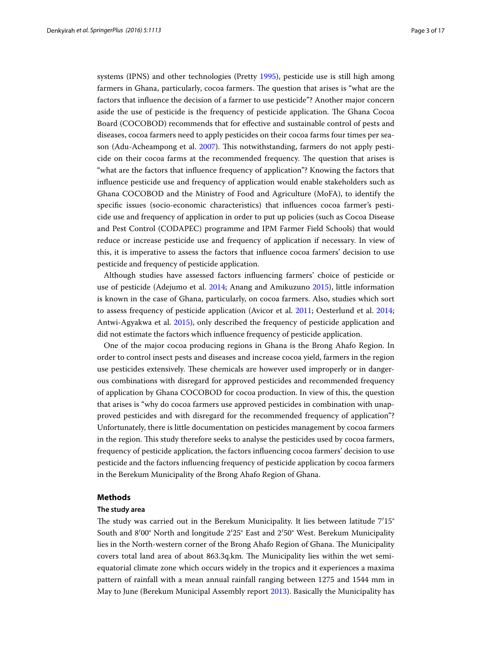systems (IPNS) and other technologies (Pretty [1995](#page-16-9)), pesticide use is still high among farmers in Ghana, particularly, cocoa farmers. The question that arises is "what are the factors that influence the decision of a farmer to use pesticide"? Another major concern aside the use of pesticide is the frequency of pesticide application. The Ghana Cocoa Board (COCOBOD) recommends that for effective and sustainable control of pests and diseases, cocoa farmers need to apply pesticides on their cocoa farms four times per season (Adu-Acheampong et al. [2007\)](#page-14-2). This notwithstanding, farmers do not apply pesticide on their cocoa farms at the recommended frequency. The question that arises is "what are the factors that influence frequency of application"? Knowing the factors that influence pesticide use and frequency of application would enable stakeholders such as Ghana COCOBOD and the Ministry of Food and Agriculture (MoFA), to identify the specific issues (socio-economic characteristics) that influences cocoa farmer's pesticide use and frequency of application in order to put up policies (such as Cocoa Disease and Pest Control (CODAPEC) programme and IPM Farmer Field Schools) that would reduce or increase pesticide use and frequency of application if necessary. In view of this, it is imperative to assess the factors that influence cocoa farmers' decision to use pesticide and frequency of pesticide application.

Although studies have assessed factors influencing farmers' choice of pesticide or use of pesticide (Adejumo et al. [2014;](#page-14-1) Anang and Amikuzuno [2015](#page-15-11)), little information is known in the case of Ghana, particularly, on cocoa farmers. Also, studies which sort to assess frequency of pesticide application (Avicor et al. [2011](#page-15-12); Oesterlund et al. [2014](#page-16-10); Antwi-Agyakwa et al. [2015](#page-15-13)), only described the frequency of pesticide application and did not estimate the factors which influence frequency of pesticide application.

One of the major cocoa producing regions in Ghana is the Brong Ahafo Region. In order to control insect pests and diseases and increase cocoa yield, farmers in the region use pesticides extensively. These chemicals are however used improperly or in dangerous combinations with disregard for approved pesticides and recommended frequency of application by Ghana COCOBOD for cocoa production. In view of this, the question that arises is "why do cocoa farmers use approved pesticides in combination with unapproved pesticides and with disregard for the recommended frequency of application"? Unfortunately, there is little documentation on pesticides management by cocoa farmers in the region. This study therefore seeks to analyse the pesticides used by cocoa farmers, frequency of pesticide application, the factors influencing cocoa farmers' decision to use pesticide and the factors influencing frequency of pesticide application by cocoa farmers in the Berekum Municipality of the Brong Ahafo Region of Ghana.

## **Methods**

#### **The study area**

The study was carried out in the Berekum Municipality. It lies between latitude 7′15° South and 8′00° North and longitude 2′25° East and 2′50° West. Berekum Municipality lies in the North-western corner of the Brong Ahafo Region of Ghana. The Municipality covers total land area of about 863.3q.km. The Municipality lies within the wet semiequatorial climate zone which occurs widely in the tropics and it experiences a maxima pattern of rainfall with a mean annual rainfall ranging between 1275 and 1544 mm in May to June (Berekum Municipal Assembly report [2013](#page-15-14)). Basically the Municipality has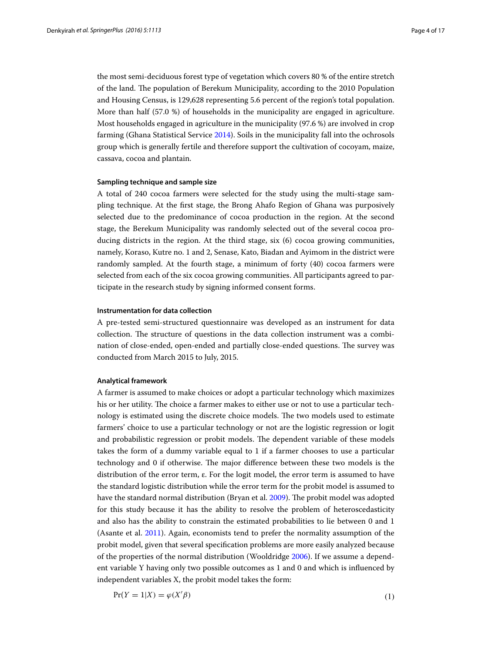the most semi-deciduous forest type of vegetation which covers 80 % of the entire stretch of the land. The population of Berekum Municipality, according to the 2010 Population and Housing Census, is 129,628 representing 5.6 percent of the region's total population. More than half (57.0 %) of households in the municipality are engaged in agriculture. Most households engaged in agriculture in the municipality (97.6 %) are involved in crop farming (Ghana Statistical Service [2014](#page-15-15)). Soils in the municipality fall into the ochrosols group which is generally fertile and therefore support the cultivation of cocoyam, maize, cassava, cocoa and plantain.

## **Sampling technique and sample size**

A total of 240 cocoa farmers were selected for the study using the multi-stage sampling technique. At the first stage, the Brong Ahafo Region of Ghana was purposively selected due to the predominance of cocoa production in the region. At the second stage, the Berekum Municipality was randomly selected out of the several cocoa producing districts in the region. At the third stage, six (6) cocoa growing communities, namely, Koraso, Kutre no. 1 and 2, Senase, Kato, Biadan and Ayimom in the district were randomly sampled. At the fourth stage, a minimum of forty (40) cocoa farmers were selected from each of the six cocoa growing communities. All participants agreed to participate in the research study by signing informed consent forms.

## **Instrumentation for data collection**

A pre-tested semi-structured questionnaire was developed as an instrument for data collection. The structure of questions in the data collection instrument was a combination of close-ended, open-ended and partially close-ended questions. The survey was conducted from March 2015 to July, 2015.

### **Analytical framework**

A farmer is assumed to make choices or adopt a particular technology which maximizes his or her utility. The choice a farmer makes to either use or not to use a particular technology is estimated using the discrete choice models. The two models used to estimate farmers' choice to use a particular technology or not are the logistic regression or logit and probabilistic regression or probit models. The dependent variable of these models takes the form of a dummy variable equal to 1 if a farmer chooses to use a particular technology and 0 if otherwise. The major difference between these two models is the distribution of the error term, ε. For the logit model, the error term is assumed to have the standard logistic distribution while the error term for the probit model is assumed to have the standard normal distribution (Bryan et al. [2009\)](#page-15-16). The probit model was adopted for this study because it has the ability to resolve the problem of heteroscedasticity and also has the ability to constrain the estimated probabilities to lie between 0 and 1 (Asante et al. [2011](#page-15-17)). Again, economists tend to prefer the normality assumption of the probit model, given that several specification problems are more easily analyzed because of the properties of the normal distribution (Wooldridge [2006\)](#page-16-11). If we assume a dependent variable Y having only two possible outcomes as 1 and 0 and which is influenced by independent variables X, the probit model takes the form:

$$
Pr(Y = 1|X) = \varphi(X'\beta)
$$
\n<sup>(1)</sup>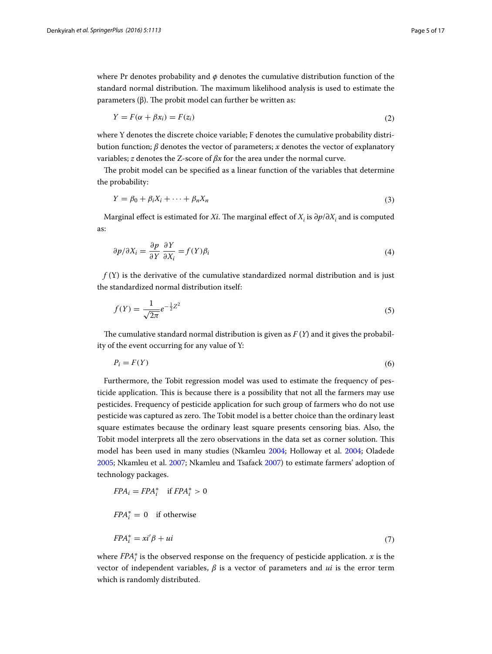where Pr denotes probability and *φ* denotes the cumulative distribution function of the standard normal distribution. The maximum likelihood analysis is used to estimate the parameters (β). The probit model can further be written as:

$$
Y = F(\alpha + \beta x_i) = F(z_i)
$$
\n<sup>(2)</sup>

where Y denotes the discrete choice variable; F denotes the cumulative probability distribution function; *β* denotes the vector of parameters; *x* denotes the vector of explanatory variables; *z* denotes the Z-score of *βx* for the area under the normal curve.

The probit model can be specified as a linear function of the variables that determine the probability:

$$
Y = \beta_0 + \beta_i X_i + \dots + \beta_n X_n \tag{3}
$$

Marginal effect is estimated for *Xi*. The marginal effect of  $X_i$  is ∂ $p/\partial X_i$  and is computed as:

$$
\frac{\partial p}{\partial X_i} = \frac{\partial p}{\partial Y} \frac{\partial Y}{\partial X_i} = f(Y)\beta_i
$$
\n(4)

*f* (Y) is the derivative of the cumulative standardized normal distribution and is just the standardized normal distribution itself:

$$
f(Y) = \frac{1}{\sqrt{2\pi}} e^{-\frac{1}{2}Z^2}
$$
\n(5)

The cumulative standard normal distribution is given as  $F(Y)$  and it gives the probability of the event occurring for any value of Y:

 $P_i = F(Y)$  (6)

Furthermore, the Tobit regression model was used to estimate the frequency of pesticide application. This is because there is a possibility that not all the farmers may use pesticides. Frequency of pesticide application for such group of farmers who do not use pesticide was captured as zero. The Tobit model is a better choice than the ordinary least square estimates because the ordinary least square presents censoring bias. Also, the Tobit model interprets all the zero observations in the data set as corner solution. This model has been used in many studies (Nkamleu [2004;](#page-16-12) Holloway et al. [2004](#page-15-18); Oladede [2005](#page-16-13); Nkamleu et al. [2007](#page-16-14); Nkamleu and Tsafack [2007](#page-16-15)) to estimate farmers' adoption of technology packages.

$$
FPA_i = FPA_i^* \quad \text{if } FPA_i^* > 0
$$

$$
FPA_i^* = 0 \quad \text{if otherwise}
$$

$$
FPA_i^* = x i' \beta + u i \tag{7}
$$

where FPA<sup>∗</sup> <sup>i</sup> is the observed response on the frequency of pesticide application. *x* is the vector of independent variables, *β* is a vector of parameters and *ui* is the error term which is randomly distributed.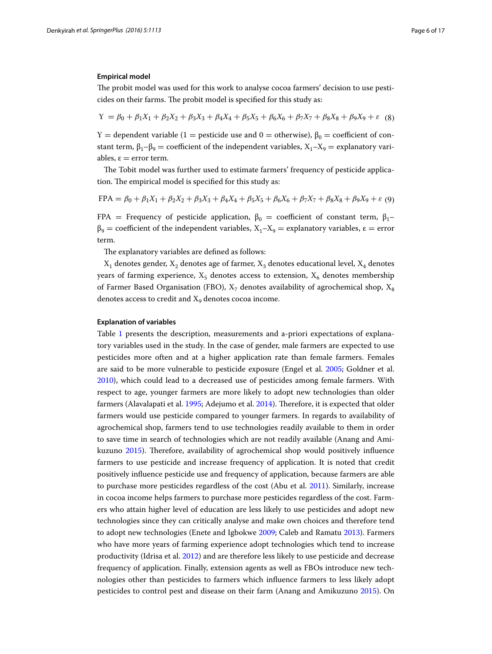## **Empirical model**

The probit model was used for this work to analyse cocoa farmers' decision to use pesticides on their farms. The probit model is specified for this study as:

$$
Y = \beta_0 + \beta_1 X_1 + \beta_2 X_2 + \beta_3 X_3 + \beta_4 X_4 + \beta_5 X_5 + \beta_6 X_6 + \beta_7 X_7 + \beta_8 X_8 + \beta_9 X_9 + \varepsilon
$$
 (8)

Y = dependent variable (1 = pesticide use and 0 = otherwise),  $\beta_0$  = coefficient of constant term,  $\beta_1 - \beta_9 =$  coefficient of the independent variables,  $X_1 - X_9 =$  explanatory variables,  $\varepsilon$  = error term.

The Tobit model was further used to estimate farmers' frequency of pesticide application. The empirical model is specified for this study as:

$$
FPA = \beta_0 + \beta_1 X_1 + \beta_2 X_2 + \beta_3 X_3 + \beta_4 X_4 + \beta_5 X_5 + \beta_6 X_6 + \beta_7 X_7 + \beta_8 X_8 + \beta_9 X_9 + \varepsilon
$$
(9)

FPA = Frequency of pesticide application,  $\beta_0$  = coefficient of constant term,  $\beta_1$ - $\beta_9$  = coefficient of the independent variables,  $X_1 - X_9$  = explanatory variables,  $\varepsilon$  = error term.

The explanatory variables are defined as follows:

 $\mathbf{X}_1$  denotes gender,  $\mathbf{X}_2$  denotes age of farmer,  $\mathbf{X}_3$  denotes educational level,  $\mathbf{X}_4$  denotes years of farming experience,  $X_5$  denotes access to extension,  $X_6$  denotes membership of Farmer Based Organisation (FBO),  $X_7$  denotes availability of agrochemical shop,  $X_8$ denotes access to credit and  $X<sub>9</sub>$  denotes cocoa income.

#### **Explanation of variables**

Table [1](#page-6-0) presents the description, measurements and a-priori expectations of explanatory variables used in the study. In the case of gender, male farmers are expected to use pesticides more often and at a higher application rate than female farmers. Females are said to be more vulnerable to pesticide exposure (Engel et al. [2005](#page-15-19); Goldner et al. [2010](#page-15-20)), which could lead to a decreased use of pesticides among female farmers. With respect to age, younger farmers are more likely to adopt new technologies than older farmers (Alavalapati et al. [1995;](#page-15-21) Adejumo et al. [2014\)](#page-14-1). Therefore, it is expected that older farmers would use pesticide compared to younger farmers. In regards to availability of agrochemical shop, farmers tend to use technologies readily available to them in order to save time in search of technologies which are not readily available (Anang and Amikuzuno [2015\)](#page-15-11). Therefore, availability of agrochemical shop would positively influence farmers to use pesticide and increase frequency of application. It is noted that credit positively influence pesticide use and frequency of application, because farmers are able to purchase more pesticides regardless of the cost (Abu et al. [2011](#page-14-3)). Similarly, increase in cocoa income helps farmers to purchase more pesticides regardless of the cost. Farmers who attain higher level of education are less likely to use pesticides and adopt new technologies since they can critically analyse and make own choices and therefore tend to adopt new technologies (Enete and Igbokwe [2009](#page-15-22); Caleb and Ramatu [2013](#page-15-23)). Farmers who have more years of farming experience adopt technologies which tend to increase productivity (Idrisa et al. [2012](#page-15-24)) and are therefore less likely to use pesticide and decrease frequency of application. Finally, extension agents as well as FBOs introduce new technologies other than pesticides to farmers which influence farmers to less likely adopt pesticides to control pest and disease on their farm (Anang and Amikuzuno [2015](#page-15-11)). On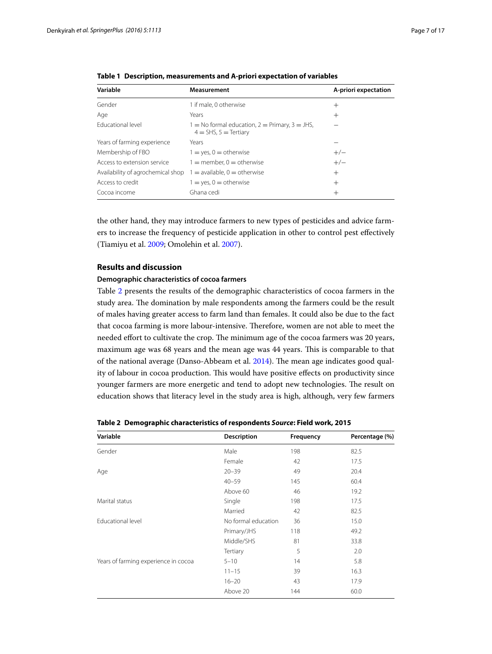| Variable                          | <b>Measurement</b>                                                              | A-priori expectation |
|-----------------------------------|---------------------------------------------------------------------------------|----------------------|
| Gender                            | 1 if male, 0 otherwise                                                          | $^{+}$               |
| Age                               | Years                                                                           | $\hspace{0.1mm} +$   |
| <b>Educational level</b>          | $1 =$ No formal education, $2 =$ Primary, $3 =$ JHS,<br>$4 = SHS, 5 = Tertiary$ |                      |
| Years of farming experience       | Years                                                                           |                      |
| Membership of FBO                 | $1 = yes, 0 = otherwise$                                                        | $+/-$                |
| Access to extension service       | $1 =$ member, $0 =$ otherwise                                                   | $+/-$                |
| Availability of agrochemical shop | $1 =$ available, $0 =$ otherwise                                                | $^{+}$               |
| Access to credit                  | $1 = yes, 0 = otherwise$                                                        | $^{+}$               |
| Cocoa income                      | Ghana cedi                                                                      | $\hspace{0.1mm} +$   |

<span id="page-6-0"></span>

|  | Table 1 Description, measurements and A-priori expectation of variables |  |
|--|-------------------------------------------------------------------------|--|
|--|-------------------------------------------------------------------------|--|

the other hand, they may introduce farmers to new types of pesticides and advice farmers to increase the frequency of pesticide application in other to control pest effectively (Tiamiyu et al. [2009](#page-16-16); Omolehin et al. [2007](#page-16-17)).

## **Results and discussion**

## **Demographic characteristics of cocoa farmers**

Table [2](#page-6-1) presents the results of the demographic characteristics of cocoa farmers in the study area. The domination by male respondents among the farmers could be the result of males having greater access to farm land than females. It could also be due to the fact that cocoa farming is more labour-intensive. Therefore, women are not able to meet the needed effort to cultivate the crop. The minimum age of the cocoa farmers was 20 years, maximum age was 68 years and the mean age was 44 years. This is comparable to that of the national average (Danso-Abbeam et al. [2014](#page-15-1)). The mean age indicates good quality of labour in cocoa production. This would have positive effects on productivity since younger farmers are more energetic and tend to adopt new technologies. The result on education shows that literacy level in the study area is high, although, very few farmers

| Variable                             | <b>Description</b>  | Frequency | Percentage (%) |
|--------------------------------------|---------------------|-----------|----------------|
| Gender                               | Male                | 198       | 82.5           |
|                                      | Female              | 42        | 17.5           |
| Age                                  | $20 - 39$           | 49        | 20.4           |
|                                      | $40 - 59$           | 145       | 60.4           |
|                                      | Above 60            | 46        | 19.2           |
| Marital status                       | Single              | 198       | 17.5           |
|                                      | Married             | 42        | 82.5           |
| <b>Educational level</b>             | No formal education | 36        | 15.0           |
|                                      | Primary/JHS         | 118       | 49.2           |
|                                      | Middle/SHS          | 81        | 33.8           |
|                                      | Tertiary            | 5         | 2.0            |
| Years of farming experience in cocoa | $5 - 10$            | 14        | 5.8            |
|                                      | $11 - 15$           | 39        | 16.3           |
|                                      | $16 - 20$           | 43        | 17.9           |
|                                      | Above 20            | 144       | 60.0           |

<span id="page-6-1"></span>**Table 2 Demographic characteristics of respondents** *Source***: Field work, 2015**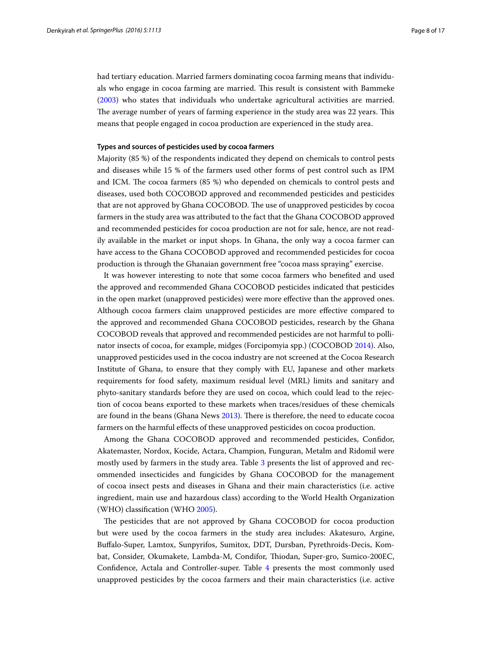had tertiary education. Married farmers dominating cocoa farming means that individuals who engage in cocoa farming are married. This result is consistent with Bammeke ([2003\)](#page-15-25) who states that individuals who undertake agricultural activities are married. The average number of years of farming experience in the study area was 22 years. This means that people engaged in cocoa production are experienced in the study area.

## **Types and sources of pesticides used by cocoa farmers**

Majority (85 %) of the respondents indicated they depend on chemicals to control pests and diseases while 15 % of the farmers used other forms of pest control such as IPM and ICM. The cocoa farmers (85 %) who depended on chemicals to control pests and diseases, used both COCOBOD approved and recommended pesticides and pesticides that are not approved by Ghana COCOBOD. The use of unapproved pesticides by cocoa farmers in the study area was attributed to the fact that the Ghana COCOBOD approved and recommended pesticides for cocoa production are not for sale, hence, are not readily available in the market or input shops. In Ghana, the only way a cocoa farmer can have access to the Ghana COCOBOD approved and recommended pesticides for cocoa production is through the Ghanaian government free "cocoa mass spraying" exercise.

It was however interesting to note that some cocoa farmers who benefited and used the approved and recommended Ghana COCOBOD pesticides indicated that pesticides in the open market (unapproved pesticides) were more effective than the approved ones. Although cocoa farmers claim unapproved pesticides are more effective compared to the approved and recommended Ghana COCOBOD pesticides, research by the Ghana COCOBOD reveals that approved and recommended pesticides are not harmful to pollinator insects of cocoa, for example, midges (Forcipomyia spp.) (COCOBOD [2014](#page-15-26)). Also, unapproved pesticides used in the cocoa industry are not screened at the Cocoa Research Institute of Ghana, to ensure that they comply with EU, Japanese and other markets requirements for food safety, maximum residual level (MRL) limits and sanitary and phyto-sanitary standards before they are used on cocoa, which could lead to the rejection of cocoa beans exported to these markets when traces/residues of these chemicals are found in the beans (Ghana News [2013\)](#page-15-27). There is therefore, the need to educate cocoa farmers on the harmful effects of these unapproved pesticides on cocoa production.

Among the Ghana COCOBOD approved and recommended pesticides, Confidor, Akatemaster, Nordox, Kocide, Actara, Champion, Funguran, Metalm and Ridomil were mostly used by farmers in the study area. Table [3](#page-8-0) presents the list of approved and recommended insecticides and fungicides by Ghana COCOBOD for the management of cocoa insect pests and diseases in Ghana and their main characteristics (i.e. active ingredient, main use and hazardous class) according to the World Health Organization (WHO) classification (WHO [2005\)](#page-16-18).

The pesticides that are not approved by Ghana COCOBOD for cocoa production but were used by the cocoa farmers in the study area includes: Akatesuro, Argine, Buffalo-Super, Lamtox, Sunpyrifos, Sumitox, DDT, Dursban, Pyrethroids-Decis, Kombat, Consider, Okumakete, Lambda-M, Condifor, Thiodan, Super-gro, Sumico-200EC, Confidence, Actala and Controller-super. Table [4](#page-8-1) presents the most commonly used unapproved pesticides by the cocoa farmers and their main characteristics (i.e. active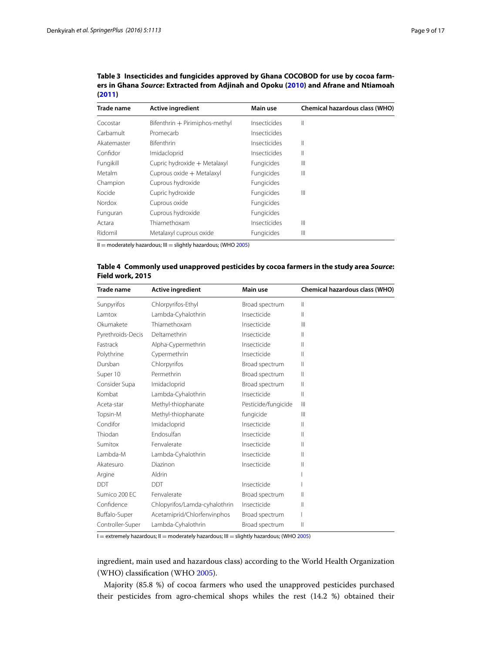| <b>Trade name</b> | <b>Active ingredient</b>       | Main use          | <b>Chemical hazardous class (WHO)</b> |
|-------------------|--------------------------------|-------------------|---------------------------------------|
| Cocostar          | Bifenthrin + Pirimiphos-methyl | Insecticides      | Ш                                     |
| Carbamult         | Promecarb                      | Insecticides      |                                       |
| Akatemaster       | <b>Bifenthrin</b>              | Insecticides      | Ш                                     |
| Confidor          | Imidacloprid                   | Insecticides      | Ш                                     |
| Fungikill         | Cupric hydroxide + Metalaxyl   | Fungicides        | Ш                                     |
| Metalm            | Cuprous oxide + Metalaxyl      | <b>Fungicides</b> | Ш                                     |
| Champion          | Cuprous hydroxide              | Fungicides        |                                       |
| Kocide            | Cupric hydroxide               | <b>Fungicides</b> | Ш                                     |
| Nordox            | Cuprous oxide                  | Fungicides        |                                       |
| Funguran          | Cuprous hydroxide              | Fungicides        |                                       |
| Actara            | Thiamethoxam                   | Insecticides      | Ш                                     |
| Ridomil           | Metalaxyl cuprous oxide        | Fungicides        | Ш                                     |

<span id="page-8-0"></span>**Table 3 Insecticides and fungicides approved by Ghana COCOBOD for use by cocoa farmers in Ghana** *Source***: Extracted from Adjinah and Opoku [\(2010](#page-14-4)) and Afrane and Ntiamoah [\(2011](#page-14-5))**

 $II =$  moderately hazardous;  $III =$  slightly hazardous; (WHO [2005](#page-16-18))

<span id="page-8-1"></span>

| Table 4 Commonly used unapproved pesticides by cocoa farmers in the study area Source: |  |
|----------------------------------------------------------------------------------------|--|
| Field work, 2015                                                                       |  |

| Trade name        | <b>Active ingredient</b>      | Main use            | Chemical hazardous class (WHO) |
|-------------------|-------------------------------|---------------------|--------------------------------|
| Sunpyrifos        | Chlorpyrifos-Ethyl            | Broad spectrum      | Ш                              |
| l amtox           | Lambda-Cyhalothrin            | Insecticide         | Ш                              |
| Okumakete         | Thiamethoxam                  | Insecticide         | $\mathbf{III}$                 |
| Pyrethroids-Decis | Deltamethrin                  | Insecticide         | $\mathsf{II}$                  |
| Fastrack          | Alpha-Cypermethrin            | Insecticide         | $\mathsf{II}$                  |
| Polythrine        | Cypermethrin                  | Insecticide         | $\mathsf{II}$                  |
| Dursban           | Chlorpyrifos                  | Broad spectrum      | $\mathsf{II}$                  |
| Super 10          | Permethrin                    | Broad spectrum      | Ш                              |
| Consider Supa     | Imidacloprid                  | Broad spectrum      | $\mathsf{II}$                  |
| Kombat            | Lambda-Cyhalothrin            | Insecticide         | $\mathsf{II}$                  |
| Aceta-star        | Methyl-thiophanate            | Pesticide/fungicide | $\mathbf{III}$                 |
| Topsin-M          | Methyl-thiophanate            | fungicide           | $\mathbf{III}$                 |
| Condifor          | Imidacloprid                  | Insecticide         | Ш                              |
| Thiodan           | <b>Endosulfan</b>             | Insecticide         | Ш                              |
| Sumitox           | Fenvalerate                   | Insecticide         | Ш                              |
| Lambda-M          | Lambda-Cyhalothrin            | Insecticide         | Ш                              |
| Akatesuro         | Diazinon                      | Insecticide         | Ш                              |
| Argine            | Aldrin                        |                     |                                |
| <b>DDT</b>        | <b>DDT</b>                    | Insecticide         |                                |
| Sumico 200 EC     | Fenvalerate                   | Broad spectrum      | Ш                              |
| Confidence        | Chlopyrifos/Lamda-cyhalothrin | Insecticide         | $\mathsf{II}$                  |
| Buffalo-Super     | Acetamiprid/Chlorfenvinphos   | Broad spectrum      |                                |
| Controller-Super  | Lambda-Cyhalothrin            | Broad spectrum      | $\mathsf{II}$                  |

 $I =$  extremely hazardous;  $II =$  moderately hazardous;  $III =$  slightly hazardous; (WHO [2005](#page-16-18))

ingredient, main used and hazardous class) according to the World Health Organization (WHO) classification (WHO [2005\)](#page-16-18).

Majority (85.8 %) of cocoa farmers who used the unapproved pesticides purchased their pesticides from agro-chemical shops whiles the rest (14.2 %) obtained their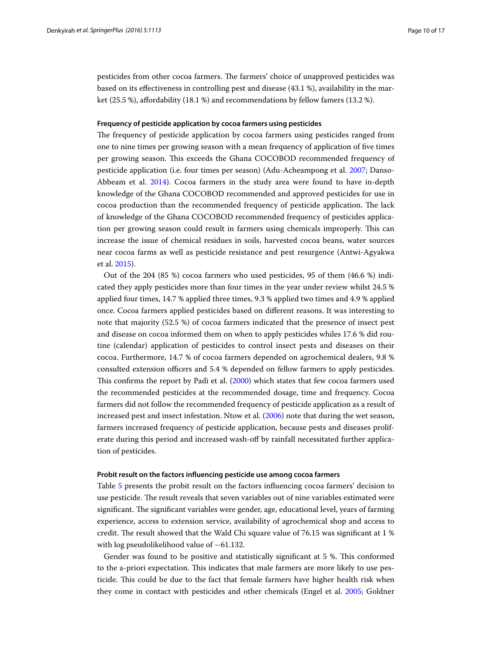pesticides from other cocoa farmers. The farmers' choice of unapproved pesticides was based on its effectiveness in controlling pest and disease (43.1 %), availability in the market (25.5 %), affordability (18.1 %) and recommendations by fellow famers (13.2 %).

#### **Frequency of pesticide application by cocoa farmers using pesticides**

The frequency of pesticide application by cocoa farmers using pesticides ranged from one to nine times per growing season with a mean frequency of application of five times per growing season. This exceeds the Ghana COCOBOD recommended frequency of pesticide application (i.e. four times per season) (Adu-Acheampong et al. [2007;](#page-14-2) Danso-Abbeam et al. [2014\)](#page-15-1). Cocoa farmers in the study area were found to have in-depth knowledge of the Ghana COCOBOD recommended and approved pesticides for use in cocoa production than the recommended frequency of pesticide application. The lack of knowledge of the Ghana COCOBOD recommended frequency of pesticides application per growing season could result in farmers using chemicals improperly. This can increase the issue of chemical residues in soils, harvested cocoa beans, water sources near cocoa farms as well as pesticide resistance and pest resurgence (Antwi-Agyakwa et al. [2015\)](#page-15-13).

Out of the 204 (85 %) cocoa farmers who used pesticides, 95 of them (46.6 %) indicated they apply pesticides more than four times in the year under review whilst 24.5 % applied four times, 14.7 % applied three times, 9.3 % applied two times and 4.9 % applied once. Cocoa farmers applied pesticides based on different reasons. It was interesting to note that majority (52.5 %) of cocoa farmers indicated that the presence of insect pest and disease on cocoa informed them on when to apply pesticides whiles 17.6 % did routine (calendar) application of pesticides to control insect pests and diseases on their cocoa. Furthermore, 14.7 % of cocoa farmers depended on agrochemical dealers, 9.8 % consulted extension officers and 5.4 % depended on fellow farmers to apply pesticides. This confirms the report by Padi et al. [\(2000](#page-16-19)) which states that few cocoa farmers used the recommended pesticides at the recommended dosage, time and frequency. Cocoa farmers did not follow the recommended frequency of pesticide application as a result of increased pest and insect infestation. Ntow et al. [\(2006\)](#page-16-7) note that during the wet season, farmers increased frequency of pesticide application, because pests and diseases proliferate during this period and increased wash-off by rainfall necessitated further application of pesticides.

## **Probit result on the factors influencing pesticide use among cocoa farmers**

Table [5](#page-10-0) presents the probit result on the factors influencing cocoa farmers' decision to use pesticide. The result reveals that seven variables out of nine variables estimated were significant. The significant variables were gender, age, educational level, years of farming experience, access to extension service, availability of agrochemical shop and access to credit. The result showed that the Wald Chi square value of 76.15 was significant at 1 % with log pseudolikelihood value of −61.132.

Gender was found to be positive and statistically significant at 5 %. This conformed to the a-priori expectation. This indicates that male farmers are more likely to use pesticide. This could be due to the fact that female farmers have higher health risk when they come in contact with pesticides and other chemicals (Engel et al. [2005;](#page-15-19) Goldner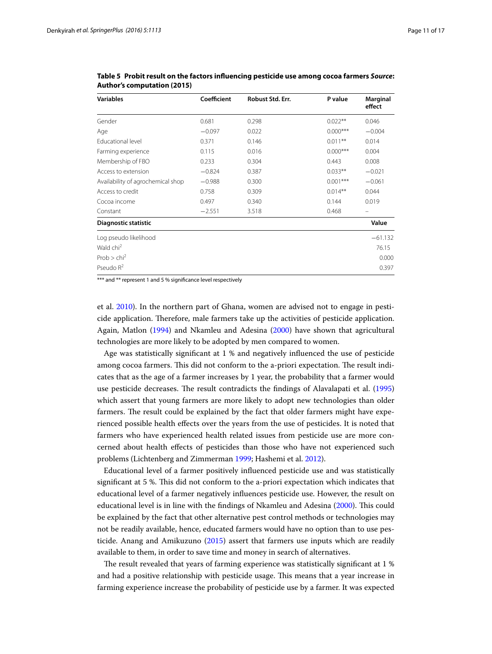| <b>Variables</b>                  | Coefficient | Robust Std. Err. | P value    | Marginal<br>effect |
|-----------------------------------|-------------|------------------|------------|--------------------|
| Gender                            | 0.681       | 0.298            | $0.022**$  | 0.046              |
| Age                               | $-0.097$    | 0.022            | $0.000***$ | $-0.004$           |
| Educational level                 | 0.371       | 0.146            | $0.011**$  | 0.014              |
| Farming experience                | 0.115       | 0.016            | $0.000***$ | 0.004              |
| Membership of FBO                 | 0.233       | 0.304            | 0.443      | 0.008              |
| Access to extension               | $-0.824$    | 0.387            | $0.033**$  | $-0.021$           |
| Availability of agrochemical shop | $-0.988$    | 0.300            | $0.001***$ | $-0.061$           |
| Access to credit                  | 0.758       | 0.309            | $0.014**$  | 0.044              |
| Cocoa income                      | 0.497       | 0.340            | 0.144      | 0.019              |
| Constant                          | $-2.551$    | 3.518            | 0.468      |                    |
| Diagnostic statistic              |             |                  |            | Value              |
| Log pseudo likelihood             |             |                  |            | $-61.132$          |
| Wald chi <sup>2</sup>             |             |                  |            | 76.15              |
| Prob > chi <sup>2</sup>           |             |                  |            | 0.000              |
| Pseudo $R^2$                      |             |                  |            | 0.397              |

<span id="page-10-0"></span>**Table 5 Probit result on the factors influencing pesticide use among cocoa farmers** *Source***: Author's computation (2015)**

\*\*\* and \*\* represent 1 and 5 % significance level respectively

et al. [2010](#page-15-20)). In the northern part of Ghana, women are advised not to engage in pesticide application. Therefore, male farmers take up the activities of pesticide application. Again, Matlon ([1994](#page-16-20)) and Nkamleu and Adesina ([2000](#page-16-21)) have shown that agricultural technologies are more likely to be adopted by men compared to women.

Age was statistically significant at 1 % and negatively influenced the use of pesticide among cocoa farmers. This did not conform to the a-priori expectation. The result indicates that as the age of a farmer increases by 1 year, the probability that a farmer would use pesticide decreases. The result contradicts the findings of Alavalapati et al. ([1995](#page-15-21)) which assert that young farmers are more likely to adopt new technologies than older farmers. The result could be explained by the fact that older farmers might have experienced possible health effects over the years from the use of pesticides. It is noted that farmers who have experienced health related issues from pesticide use are more concerned about health effects of pesticides than those who have not experienced such problems (Lichtenberg and Zimmerman [1999](#page-16-22); Hashemi et al. [2012](#page-15-28)).

Educational level of a farmer positively influenced pesticide use and was statistically significant at 5 %. This did not conform to the a-priori expectation which indicates that educational level of a farmer negatively influences pesticide use. However, the result on educational level is in line with the findings of Nkamleu and Adesina [\(2000\)](#page-16-21). This could be explained by the fact that other alternative pest control methods or technologies may not be readily available, hence, educated farmers would have no option than to use pesticide. Anang and Amikuzuno ([2015](#page-15-11)) assert that farmers use inputs which are readily available to them, in order to save time and money in search of alternatives.

The result revealed that years of farming experience was statistically significant at 1 % and had a positive relationship with pesticide usage. This means that a year increase in farming experience increase the probability of pesticide use by a farmer. It was expected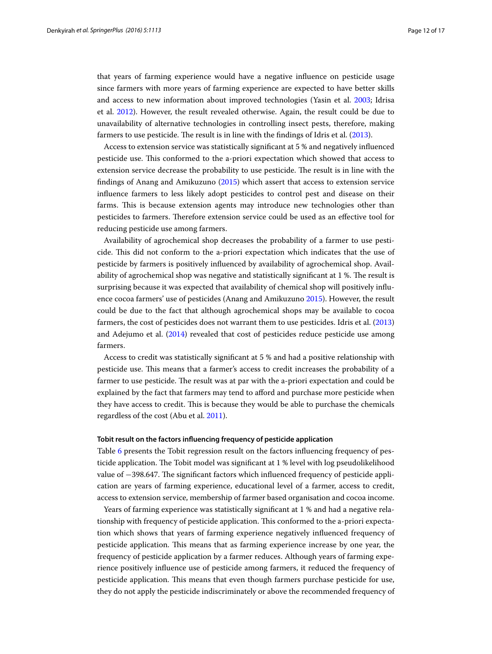that years of farming experience would have a negative influence on pesticide usage since farmers with more years of farming experience are expected to have better skills and access to new information about improved technologies (Yasin et al. [2003;](#page-16-23) Idrisa et al. [2012](#page-15-24)). However, the result revealed otherwise. Again, the result could be due to unavailability of alternative technologies in controlling insect pests, therefore, making farmers to use pesticide. The result is in line with the findings of Idris et al. [\(2013\)](#page-15-29).

Access to extension service was statistically significant at 5 % and negatively influenced pesticide use. This conformed to the a-priori expectation which showed that access to extension service decrease the probability to use pesticide. The result is in line with the findings of Anang and Amikuzuno ([2015](#page-15-11)) which assert that access to extension service influence farmers to less likely adopt pesticides to control pest and disease on their farms. This is because extension agents may introduce new technologies other than pesticides to farmers. Therefore extension service could be used as an effective tool for reducing pesticide use among farmers.

Availability of agrochemical shop decreases the probability of a farmer to use pesticide. This did not conform to the a-priori expectation which indicates that the use of pesticide by farmers is positively influenced by availability of agrochemical shop. Availability of agrochemical shop was negative and statistically significant at 1 %. The result is surprising because it was expected that availability of chemical shop will positively influence cocoa farmers' use of pesticides (Anang and Amikuzuno [2015](#page-15-11)). However, the result could be due to the fact that although agrochemical shops may be available to cocoa farmers, the cost of pesticides does not warrant them to use pesticides. Idris et al. ([2013](#page-15-29)) and Adejumo et al. ([2014\)](#page-14-1) revealed that cost of pesticides reduce pesticide use among farmers.

Access to credit was statistically significant at 5 % and had a positive relationship with pesticide use. This means that a farmer's access to credit increases the probability of a farmer to use pesticide. The result was at par with the a-priori expectation and could be explained by the fact that farmers may tend to afford and purchase more pesticide when they have access to credit. This is because they would be able to purchase the chemicals regardless of the cost (Abu et al. [2011\)](#page-14-3).

#### **Tobit result on the factors influencing frequency of pesticide application**

Table [6](#page-12-0) presents the Tobit regression result on the factors influencing frequency of pesticide application. The Tobit model was significant at 1 % level with log pseudolikelihood value of −398.647. The significant factors which influenced frequency of pesticide application are years of farming experience, educational level of a farmer, access to credit, access to extension service, membership of farmer based organisation and cocoa income.

Years of farming experience was statistically significant at 1 % and had a negative relationship with frequency of pesticide application. This conformed to the a-priori expectation which shows that years of farming experience negatively influenced frequency of pesticide application. This means that as farming experience increase by one year, the frequency of pesticide application by a farmer reduces. Although years of farming experience positively influence use of pesticide among farmers, it reduced the frequency of pesticide application. This means that even though farmers purchase pesticide for use, they do not apply the pesticide indiscriminately or above the recommended frequency of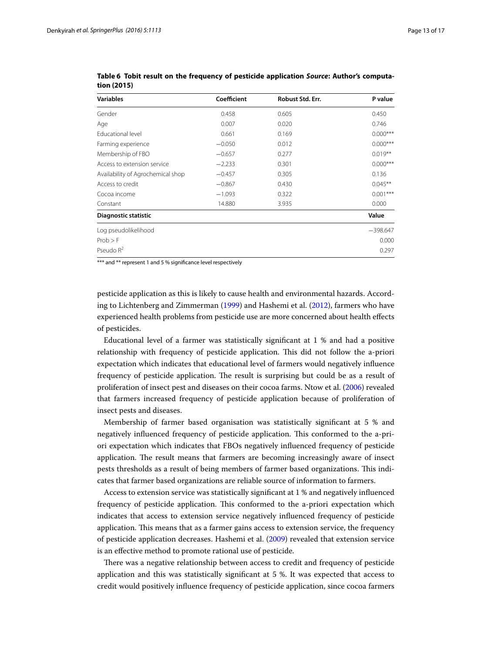| <b>Variables</b>                  | Coefficient | Robust Std. Err. | P value    |
|-----------------------------------|-------------|------------------|------------|
| Gender                            | 0.458       | 0.605            | 0.450      |
| Age                               | 0.007       | 0.020            | 0.746      |
| <b>Educational level</b>          | 0.661       | 0.169            | $0.000***$ |
| Farming experience                | $-0.050$    | 0.012            | $0.000***$ |
| Membership of FBO                 | $-0.657$    | 0.277            | $0.019**$  |
| Access to extension service       | $-2.233$    | 0.301            | $0.000***$ |
| Availability of Agrochemical shop | $-0.457$    | 0.305            | 0.136      |
| Access to credit                  | $-0.867$    | 0.430            | $0.045**$  |
| Cocoa income                      | $-1.093$    | 0.322            | $0.001***$ |
| Constant                          | 14.880      | 3.935            | 0.000      |
| <b>Diagnostic statistic</b>       |             |                  | Value      |
| Log pseudolikelihood              |             |                  | $-398.647$ |
| $Prob$ > $F$                      |             |                  | 0.000      |
| Pseudo $R^2$                      |             |                  | 0.297      |

<span id="page-12-0"></span>**Table 6 Tobit result on the frequency of pesticide application** *Source***: Author's computation (2015)**

\*\*\* and \*\* represent 1 and 5 % significance level respectively

pesticide application as this is likely to cause health and environmental hazards. According to Lichtenberg and Zimmerman [\(1999](#page-16-22)) and Hashemi et al. [\(2012](#page-15-28)), farmers who have experienced health problems from pesticide use are more concerned about health effects of pesticides.

Educational level of a farmer was statistically significant at 1 % and had a positive relationship with frequency of pesticide application. This did not follow the a-priori expectation which indicates that educational level of farmers would negatively influence frequency of pesticide application. The result is surprising but could be as a result of proliferation of insect pest and diseases on their cocoa farms. Ntow et al. [\(2006\)](#page-16-7) revealed that farmers increased frequency of pesticide application because of proliferation of insect pests and diseases.

Membership of farmer based organisation was statistically significant at 5 % and negatively influenced frequency of pesticide application. This conformed to the a-priori expectation which indicates that FBOs negatively influenced frequency of pesticide application. The result means that farmers are becoming increasingly aware of insect pests thresholds as a result of being members of farmer based organizations. This indicates that farmer based organizations are reliable source of information to farmers.

Access to extension service was statistically significant at 1 % and negatively influenced frequency of pesticide application. This conformed to the a-priori expectation which indicates that access to extension service negatively influenced frequency of pesticide application. This means that as a farmer gains access to extension service, the frequency of pesticide application decreases. Hashemi et al. ([2009](#page-15-30)) revealed that extension service is an effective method to promote rational use of pesticide.

There was a negative relationship between access to credit and frequency of pesticide application and this was statistically significant at 5 %. It was expected that access to credit would positively influence frequency of pesticide application, since cocoa farmers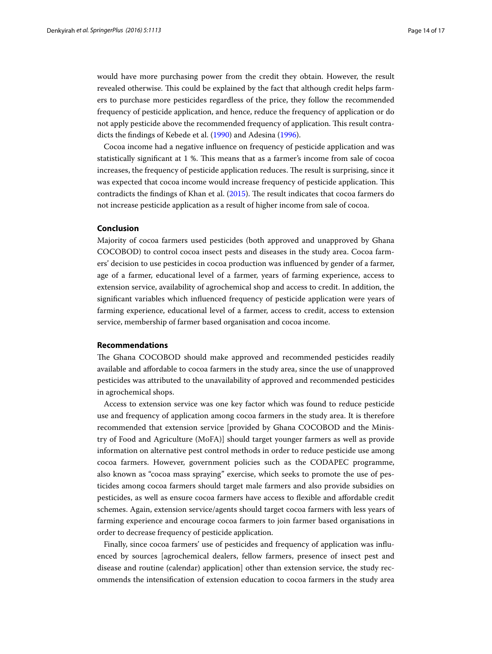would have more purchasing power from the credit they obtain. However, the result revealed otherwise. This could be explained by the fact that although credit helps farmers to purchase more pesticides regardless of the price, they follow the recommended frequency of pesticide application, and hence, reduce the frequency of application or do not apply pesticide above the recommended frequency of application. This result contradicts the findings of Kebede et al. ([1990\)](#page-15-31) and Adesina [\(1996\)](#page-14-6).

Cocoa income had a negative influence on frequency of pesticide application and was statistically significant at 1 %. This means that as a farmer's income from sale of cocoa increases, the frequency of pesticide application reduces. The result is surprising, since it was expected that cocoa income would increase frequency of pesticide application. This contradicts the findings of Khan et al. ([2015](#page-16-24)). The result indicates that cocoa farmers do not increase pesticide application as a result of higher income from sale of cocoa.

## **Conclusion**

Majority of cocoa farmers used pesticides (both approved and unapproved by Ghana COCOBOD) to control cocoa insect pests and diseases in the study area. Cocoa farmers' decision to use pesticides in cocoa production was influenced by gender of a farmer, age of a farmer, educational level of a farmer, years of farming experience, access to extension service, availability of agrochemical shop and access to credit. In addition, the significant variables which influenced frequency of pesticide application were years of farming experience, educational level of a farmer, access to credit, access to extension service, membership of farmer based organisation and cocoa income.

## **Recommendations**

The Ghana COCOBOD should make approved and recommended pesticides readily available and affordable to cocoa farmers in the study area, since the use of unapproved pesticides was attributed to the unavailability of approved and recommended pesticides in agrochemical shops.

Access to extension service was one key factor which was found to reduce pesticide use and frequency of application among cocoa farmers in the study area. It is therefore recommended that extension service [provided by Ghana COCOBOD and the Ministry of Food and Agriculture (MoFA)] should target younger farmers as well as provide information on alternative pest control methods in order to reduce pesticide use among cocoa farmers. However, government policies such as the CODAPEC programme, also known as "cocoa mass spraying" exercise, which seeks to promote the use of pesticides among cocoa farmers should target male farmers and also provide subsidies on pesticides, as well as ensure cocoa farmers have access to flexible and affordable credit schemes. Again, extension service/agents should target cocoa farmers with less years of farming experience and encourage cocoa farmers to join farmer based organisations in order to decrease frequency of pesticide application.

Finally, since cocoa farmers' use of pesticides and frequency of application was influenced by sources [agrochemical dealers, fellow farmers, presence of insect pest and disease and routine (calendar) application] other than extension service, the study recommends the intensification of extension education to cocoa farmers in the study area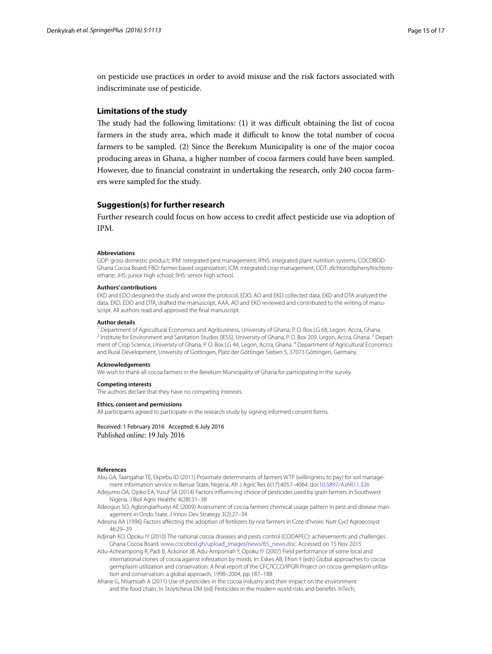on pesticide use practices in order to avoid misuse and the risk factors associated with indiscriminate use of pesticide.

## **Limitations of the study**

The study had the following limitations: (1) it was difficult obtaining the list of cocoa farmers in the study area, which made it difficult to know the total number of cocoa farmers to be sampled. (2) Since the Berekum Municipality is one of the major cocoa producing areas in Ghana, a higher number of cocoa farmers could have been sampled. However, due to financial constraint in undertaking the research, only 240 cocoa farmers were sampled for the study.

## **Suggestion(s) for further research**

Further research could focus on how access to credit affect pesticide use via adoption of IPM.

#### **Abbreviations**

GDP: gross domestic product; IPM: integrated pest management; IPNS: integrated plant nutrition systems; COCOBOD: Ghana Cocoa Board; FBO: farmer based organization; ICM: integrated crop management; DDT: dichlorodiphenyltrichloroethane; JHS: junior high school; SHS: senior high school.

#### **Authors' contributions**

EKD and EDO designed the study and wrote the protocol, EDO, AO and EKD collected data, EKD and DTA analyzed the data, EKD, EDO and DTA, drafted the manuscript, AAA, AO and EKD reviewed and contributed to the writing of manuscript. All authors read and approved the final manuscript.

#### **Author details**

<sup>1</sup> Department of Agricultural Economics and Agribusiness, University of Ghana, P. O. Box LG 68, Legon, Accra, Ghana.<br><sup>2</sup> Institute for Environment and Sanitation Studies (IESS), University of Ghana, P. O. Box 209, Legon, ment of Crop Science, University of Ghana, P. O. Box LG 44, Legon, Accra, Ghana. 4 Department of Agricultural Economics and Rural Development, University of Gottingen, Platz der Göttinger Sieben 5, 37073 Göttingen, Germany.

#### **Acknowledgements**

We wish to thank all cocoa farmers in the Berekum Municipality of Ghana for participating in the survey.

#### **Competing interests**

The authors declare that they have no competing interests.

#### **Ethics, consent and permissions**

All participants agreed to participate in the research study by signing informed consent forms.

Received: 1 February 2016 Accepted: 6 July 2016 Published online: 19 July 2016

#### **References**

- <span id="page-14-3"></span>Abu GA, Taangahar TE, Ekpebu ID (2011) Proximate determinants of farmers WTP (willingness to pay) for soil management information service in Benue State, Nigeria. Afr J Agric Res 6(17):4057–4064. doi:[10.5897/AJAR11.326](http://dx.doi.org/10.5897/AJAR11.326)
- <span id="page-14-1"></span>Adejumo OA, Ojoko EA, Yusuf SA (2014) Factors influencing choice of pesticides used by grain farmers in Southwest Nigeria. J Biol Agric Healthc 4(28):31–38
- <span id="page-14-0"></span>Adeogun SO, Agbongiarhuoyi AE (2009) Assessment of cocoa farmers chemical usage pattern in pest and disease management in Ondo State. J Innov Dev Strategy 3(2):27–34
- <span id="page-14-6"></span>Adesina AA (1996) Factors affecting the adoption of fertilizers by rice farmers in Cote d'Ivoire. Nutr Cycl Agroecosyst 46:29–39
- <span id="page-14-4"></span>Adjinah KO, Opoku IY (2010) The national cocoa diseases and pests control (CODAPEC): achievements and challenges. Ghana Cocoa Board. [www.cocobod.gh/upload\\_images/news/65\\_news.doc](http://www.cocobod.gh/upload_images/news/65_news.doc). Accessed on 15 Nov 2015
- <span id="page-14-2"></span>Adu-Acheampong R, Padi B, Ackonor JB, Adu-Ampomah Y, Opoku IY (2007) Field performance of some local and international clones of cocoa against infestation by mirids. In: Eskes AB, Efron Y (eds) Global approaches to cocoa germplasm utilization and conservation. A final report of the CFC/ICCO/IPGRI Project on cocoa germplasm utilization and conservation: a global approach, 1998–2004, pp 187–188
- <span id="page-14-5"></span>Afrane G, Ntiamoah A (2011) Use of pesticides in the cocoa industry and their impact on the environment and the food chain. In Stoytcheva DM (ed) Pesticides in the modern world-risks and benefits. InTech,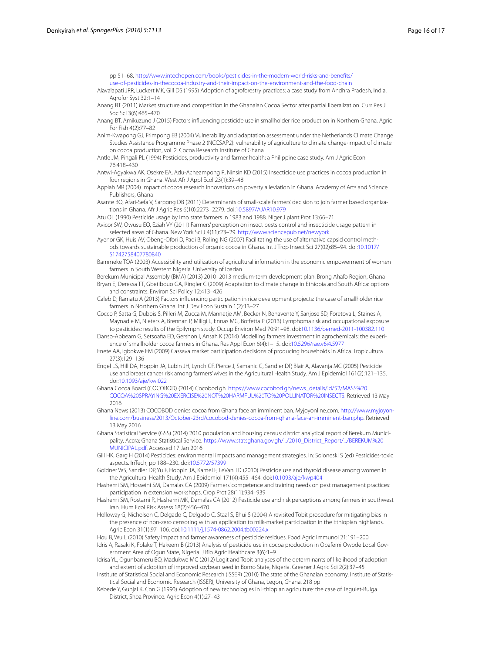pp 51–68. [http://www.intechopen.com/books/pesticides-in-the-modern-world-risks-and-benefits/](http://www.intechopen.com/books/pesticides-in-the-modern-world-risks-and-benefits/use-of-pesticides-in-thecocoa-industry-and-their-impact-on-the-environment-and-the-food-chain) [use-of-pesticides-in-thecocoa-industry-and-their-impact-on-the-environment-and-the-food-chain](http://www.intechopen.com/books/pesticides-in-the-modern-world-risks-and-benefits/use-of-pesticides-in-thecocoa-industry-and-their-impact-on-the-environment-and-the-food-chain)

<span id="page-15-21"></span>Alavalapati JRR, Luckert MK, Gill DS (1995) Adoption of agroforestry practices: a case study from Andhra Pradesh, India.

- Agrofor Syst 32:1–14 Anang BT (2011) Market structure and competition in the Ghanaian Cocoa Sector after partial liberalization. Curr Res J
- <span id="page-15-5"></span>Soc Sci 3(6):465–470
- <span id="page-15-11"></span>Anang BT, Amikuzuno J (2015) Factors influencing pesticide use in smallholder rice production in Northern Ghana. Agric For Fish 4(2):77–82
- <span id="page-15-3"></span>Anim-Kwapong GJ, Frimpong EB (2004) Vulnerability and adaptation assessment under the Netherlands Climate Change Studies Assistance Programme Phase 2 (NCCSAP2): vulnerability of agriculture to climate change-impact of climate on cocoa production, vol. 2. Cocoa Research Institute of Ghana
- <span id="page-15-6"></span>Antle JM, Pingali PL (1994) Pesticides, productivity and farmer health: a Philippine case study. Am J Agric Econ 76:418–430
- <span id="page-15-13"></span>Antwi-Agyakwa AK, Osekre EA, Adu-Acheampong R, Ninsin KD (2015) Insecticide use practices in cocoa production in four regions in Ghana. West Afr J Appl Ecol 23(1):39–48
- <span id="page-15-2"></span>Appiah MR (2004) Impact of cocoa research innovations on poverty alleviation in Ghana. Academy of Arts and Science Publishers, Ghana
- <span id="page-15-17"></span>Asante BO, Afari-Sefa V, Sarpong DB (2011) Determinants of small-scale farmers' decision to join farmer based organizations in Ghana. Afr J Agric Res 6(10):2273–2279. doi[:10.5897/AJAR10.979](http://dx.doi.org/10.5897/AJAR10.979)
- <span id="page-15-8"></span>Atu OL (1990) Pesticide usage by Imo state farmers in 1983 and 1988. Niger J plant Prot 13:66–71
- <span id="page-15-12"></span>Avicor SW, Owusu EO, Eziah VY (2011) Farmers' perception on insect pests control and insecticide usage pattern in selected areas of Ghana. New York Sci J 4(11):23–29. <http://www.sciencepub.net/newyork>
- <span id="page-15-4"></span>Ayenor GK, Huis AV, Obeng-Ofori D, Padi B, Röling NG (2007) Facilitating the use of alternative capsid control methods towards sustainable production of organic cocoa in Ghana. Int J Trop Insect Sci 27(02):85–94. doi[:10.1017/](http://dx.doi.org/10.1017/S1742758407780840) [S1742758407780840](http://dx.doi.org/10.1017/S1742758407780840)
- <span id="page-15-25"></span>Bammeke TOA (2003) Accessibility and utilization of agricultural information in the economic empowerment of women farmers in South Western Nigeria. University of Ibadan
- <span id="page-15-16"></span><span id="page-15-14"></span>Berekum Municipal Assembly (BMA) (2013) 2010–2013 medium-term development plan. Brong Ahafo Region, Ghana Bryan E, Deressa TT, Gbetibouo GA, Ringler C (2009) Adaptation to climate change in Ethiopia and South Africa: options and constraints. Environ Sci Policy 12:413–426
- <span id="page-15-23"></span>Caleb D, Ramatu A (2013) Factors influencing participation in rice development projects: the case of smallholder rice farmers in Northern Ghana. Int J Dev Econ Sustain 1(2):13–27
- <span id="page-15-9"></span>Cocco P, Satta G, Dubois S, Pilleri M, Zucca M, Mannetje AM, Becker N, Benavente Y, Sanjose SD, Foretova L, Staines A, Maynadie M, Nieters A, Brennan P, Miligi L, Ennas MG, Boffetta P (2013) Lymphoma risk and occupational exposure to pesticides: results of the Epilymph study. Occup Environ Med 70:91–98. doi:[10.1136/oemed-2011-100382.110](http://dx.doi.org/10.1136/oemed-2011-100382.110)
- <span id="page-15-1"></span>Danso-Abbeam G, Setsoafia ED, Gershon I, Ansah K (2014) Modelling farmers investment in agrochemicals: the experience of smallholder cocoa farmers in Ghana. Res Appl Econ 6(4):1–15. doi[:10.5296/rae.v6i4.5977](http://dx.doi.org/10.5296/rae.v6i4.5977)
- <span id="page-15-22"></span>Enete AA, Igbokwe EM (2009) Cassava market participation decisions of producing households in Africa. Tropicultura 27(3):129–136
- <span id="page-15-19"></span>Engel LS, Hill DA, Hoppin JA, Lubin JH, Lynch CF, Pierce J, Samanic C, Sandler DP, Blair A, Alavanja MC (2005) Pesticide use and breast cancer risk among farmers' wives in the Agricultural Health Study. Am J Epidemiol 161(2):121–135. doi:[10.1093/aje/kwi022](http://dx.doi.org/10.1093/aje/kwi022)
- <span id="page-15-26"></span>Ghana Cocoa Board (COCOBOD) (2014) Cocobod.gh. [https://www.cocobod.gh/news\\_details/id/52/MASS%20](https://www.cocobod.gh/news_details/id/52/MASS%2520COCOA%2520SPRAYING%2520EXERCISE%2520NOT%2520HARMFUL%2520TO%2520POLLINATOR%2520INSECTS) [COCOA%20SPRAYING%20EXERCISE%20NOT%20HARMFUL%20TO%20POLLINATOR%20INSECTS](https://www.cocobod.gh/news_details/id/52/MASS%2520COCOA%2520SPRAYING%2520EXERCISE%2520NOT%2520HARMFUL%2520TO%2520POLLINATOR%2520INSECTS). Retrieved 13 May 2016
- <span id="page-15-27"></span>Ghana News (2013) COCOBOD denies cocoa from Ghana face an imminent ban. Myjoyonline.com. [http://www.myjoyon](http://www.myjoyonline.com/business/2013/October-23rd/cocobod-denies-cocoa-from-ghana-face-an-imminent-ban.php)[line.com/business/2013/October-23rd/cocobod-denies-cocoa-from-ghana-face-an-imminent-ban.php](http://www.myjoyonline.com/business/2013/October-23rd/cocobod-denies-cocoa-from-ghana-face-an-imminent-ban.php). Retrieved 13 May 2016
- <span id="page-15-15"></span>Ghana Statistical Service (GSS) (2014) 2010 population and housing census: district analytical report of Berekum Municipality. Accra: Ghana Statistical Service. [https://www.statsghana.gov.gh/.../2010\\_District\\_Report/.../BEREKUM%20](https://www.statsghana.gov.gh/.../2010_District_Report/.../BEREKUM%20MUNICIPAL.pdf) [MUNICIPAL.pdf](https://www.statsghana.gov.gh/.../2010_District_Report/.../BEREKUM%20MUNICIPAL.pdf). Accessed 17 Jan 2016
- <span id="page-15-10"></span>Gill HK, Garg H (2014) Pesticides: environmental impacts and management strategies. In: Soloneski S (ed) Pesticides-toxic aspects. InTech, pp 188–230. doi:[10.5772/57399](http://dx.doi.org/10.5772/57399)
- <span id="page-15-20"></span>Goldner WS, Sandler DP, Yu F, Hoppin JA, Kamel F, LeVan TD (2010) Pesticide use and thyroid disease among women in the Agricultural Health Study. Am J Epidemiol 171(4):455–464. doi[:10.1093/aje/kwp404](http://dx.doi.org/10.1093/aje/kwp404)

<span id="page-15-30"></span>Hashemi SM, Hosseini SM, Damalas CA (2009) Farmers' competence and training needs on pest management practices: participation in extension workshops. Crop Prot 28(11):934–939

- <span id="page-15-28"></span>Hashemi SM, Rostami R, Hashemi MK, Damalas CA (2012) Pesticide use and risk perceptions among farmers in southwest Iran. Hum Ecol Risk Assess 18(2):456–470
- <span id="page-15-18"></span>Holloway G, Nicholson C, Delgado C, Delgado C, Staal S, Ehui S (2004) A revisited Tobit procedure for mitigating bias in the presence of non-zero censoring with an application to milk-market participation in the Ethiopian highlands. Agric Econ 31(1):97–106. doi[:10.1111/j.1574-0862.2004.tb00224.x](http://dx.doi.org/10.1111/j.1574-0862.2004.tb00224.x)
- <span id="page-15-7"></span>Hou B, Wu L (2010) Safety impact and farmer awareness of pesticide residues. Food Agric Immunol 21:191–200
- <span id="page-15-29"></span>Idris A, Rasaki K, Folake T, Hakeem B (2013) Analysis of pesticide use in cocoa production in Obafemi Owode Local Government Area of Ogun State, Nigeria. J Bio Agric Healthcare 3(6):1–9
- <span id="page-15-24"></span>Idrisa YL, Ogunbameru BO, Madukwe MC (2012) Logit and Tobit analyses of the determinants of likelihood of adoption and extent of adoption of improved soybean seed in Borno State, Nigeria. Greener J Agric Sci 2(2):37–45
- <span id="page-15-0"></span>Institute of Statistical Social and Economic Research (ISSER) (2010) The state of the Ghanaian economy. Institute of Statistical Social and Economic Research (ISSER), University of Ghana, Legon, Ghana, 218 pp
- <span id="page-15-31"></span>Kebede Y, Gunjal K, Con G (1990) Adoption of new technologies in Ethiopian agriculture: the case of Tegulet-Bulga District, Shoa Province. Agric Econ 4(1):27–43